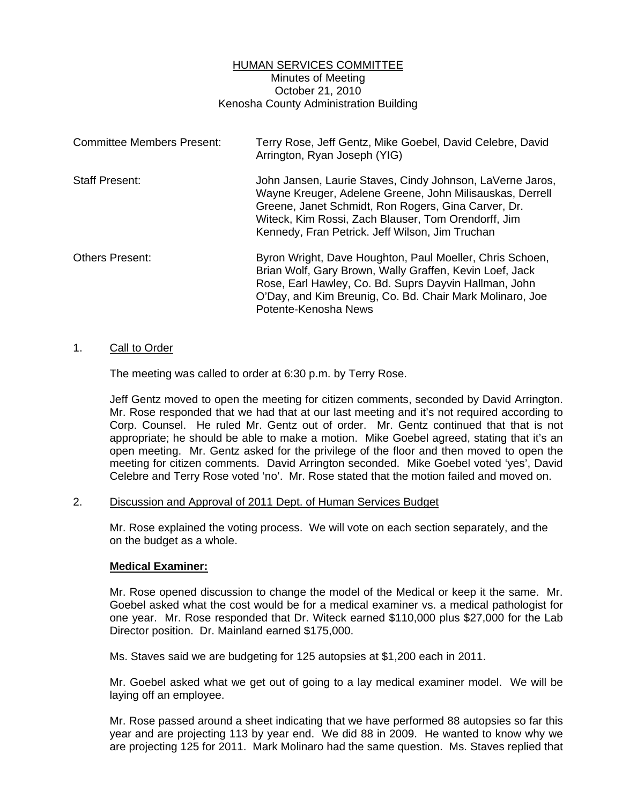## HUMAN SERVICES COMMITTEE Minutes of Meeting October 21, 2010 Kenosha County Administration Building

| <b>Committee Members Present:</b> | Terry Rose, Jeff Gentz, Mike Goebel, David Celebre, David<br>Arrington, Ryan Joseph (YIG)                                                                                                                                                                                              |
|-----------------------------------|----------------------------------------------------------------------------------------------------------------------------------------------------------------------------------------------------------------------------------------------------------------------------------------|
| <b>Staff Present:</b>             | John Jansen, Laurie Staves, Cindy Johnson, LaVerne Jaros,<br>Wayne Kreuger, Adelene Greene, John Milisauskas, Derrell<br>Greene, Janet Schmidt, Ron Rogers, Gina Carver, Dr.<br>Witeck, Kim Rossi, Zach Blauser, Tom Orendorff, Jim<br>Kennedy, Fran Petrick. Jeff Wilson, Jim Truchan |
| <b>Others Present:</b>            | Byron Wright, Dave Houghton, Paul Moeller, Chris Schoen,<br>Brian Wolf, Gary Brown, Wally Graffen, Kevin Loef, Jack<br>Rose, Earl Hawley, Co. Bd. Suprs Dayvin Hallman, John<br>O'Day, and Kim Breunig, Co. Bd. Chair Mark Molinaro, Joe<br>Potente-Kenosha News                       |

### 1. Call to Order

The meeting was called to order at 6:30 p.m. by Terry Rose.

 Jeff Gentz moved to open the meeting for citizen comments, seconded by David Arrington. Mr. Rose responded that we had that at our last meeting and it's not required according to Corp. Counsel. He ruled Mr. Gentz out of order. Mr. Gentz continued that that is not appropriate; he should be able to make a motion. Mike Goebel agreed, stating that it's an open meeting. Mr. Gentz asked for the privilege of the floor and then moved to open the meeting for citizen comments. David Arrington seconded. Mike Goebel voted 'yes', David Celebre and Terry Rose voted 'no'. Mr. Rose stated that the motion failed and moved on.

### 2. Discussion and Approval of 2011 Dept. of Human Services Budget

 Mr. Rose explained the voting process. We will vote on each section separately, and the on the budget as a whole.

### **Medical Examiner:**

 Mr. Rose opened discussion to change the model of the Medical or keep it the same. Mr. Goebel asked what the cost would be for a medical examiner vs. a medical pathologist for one year. Mr. Rose responded that Dr. Witeck earned \$110,000 plus \$27,000 for the Lab Director position. Dr. Mainland earned \$175,000.

Ms. Staves said we are budgeting for 125 autopsies at \$1,200 each in 2011.

 Mr. Goebel asked what we get out of going to a lay medical examiner model. We will be laying off an employee.

 Mr. Rose passed around a sheet indicating that we have performed 88 autopsies so far this year and are projecting 113 by year end. We did 88 in 2009. He wanted to know why we are projecting 125 for 2011. Mark Molinaro had the same question. Ms. Staves replied that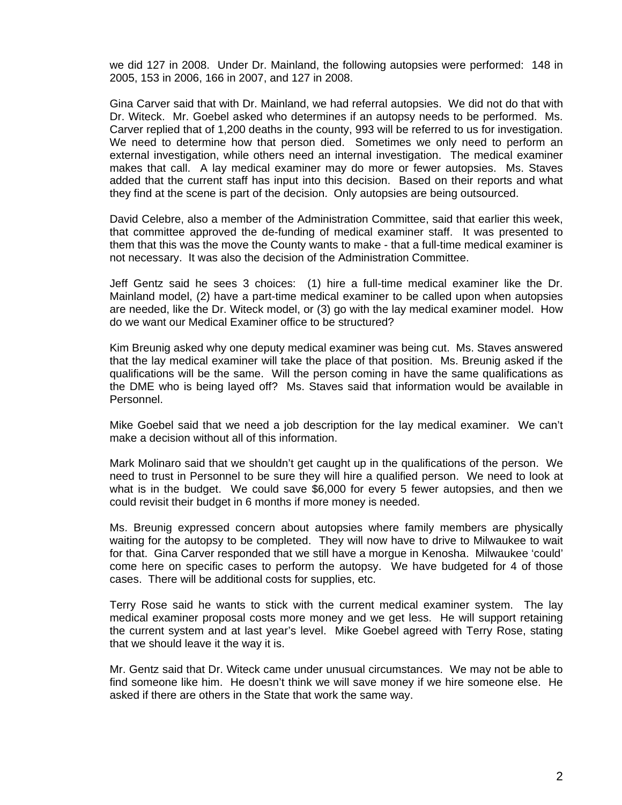we did 127 in 2008. Under Dr. Mainland, the following autopsies were performed: 148 in 2005, 153 in 2006, 166 in 2007, and 127 in 2008.

 Gina Carver said that with Dr. Mainland, we had referral autopsies. We did not do that with Dr. Witeck. Mr. Goebel asked who determines if an autopsy needs to be performed. Ms. Carver replied that of 1,200 deaths in the county, 993 will be referred to us for investigation. We need to determine how that person died. Sometimes we only need to perform an external investigation, while others need an internal investigation. The medical examiner makes that call. A lay medical examiner may do more or fewer autopsies. Ms. Staves added that the current staff has input into this decision. Based on their reports and what they find at the scene is part of the decision. Only autopsies are being outsourced.

 David Celebre, also a member of the Administration Committee, said that earlier this week, that committee approved the de-funding of medical examiner staff. It was presented to them that this was the move the County wants to make - that a full-time medical examiner is not necessary. It was also the decision of the Administration Committee.

 Jeff Gentz said he sees 3 choices: (1) hire a full-time medical examiner like the Dr. Mainland model, (2) have a part-time medical examiner to be called upon when autopsies are needed, like the Dr. Witeck model, or (3) go with the lay medical examiner model. How do we want our Medical Examiner office to be structured?

 Kim Breunig asked why one deputy medical examiner was being cut. Ms. Staves answered that the lay medical examiner will take the place of that position. Ms. Breunig asked if the qualifications will be the same. Will the person coming in have the same qualifications as the DME who is being layed off? Ms. Staves said that information would be available in Personnel.

 Mike Goebel said that we need a job description for the lay medical examiner. We can't make a decision without all of this information.

 Mark Molinaro said that we shouldn't get caught up in the qualifications of the person. We need to trust in Personnel to be sure they will hire a qualified person. We need to look at what is in the budget. We could save \$6,000 for every 5 fewer autopsies, and then we could revisit their budget in 6 months if more money is needed.

 Ms. Breunig expressed concern about autopsies where family members are physically waiting for the autopsy to be completed. They will now have to drive to Milwaukee to wait for that. Gina Carver responded that we still have a morgue in Kenosha. Milwaukee 'could' come here on specific cases to perform the autopsy. We have budgeted for 4 of those cases. There will be additional costs for supplies, etc.

 Terry Rose said he wants to stick with the current medical examiner system. The lay medical examiner proposal costs more money and we get less. He will support retaining the current system and at last year's level. Mike Goebel agreed with Terry Rose, stating that we should leave it the way it is.

 Mr. Gentz said that Dr. Witeck came under unusual circumstances. We may not be able to find someone like him. He doesn't think we will save money if we hire someone else. He asked if there are others in the State that work the same way.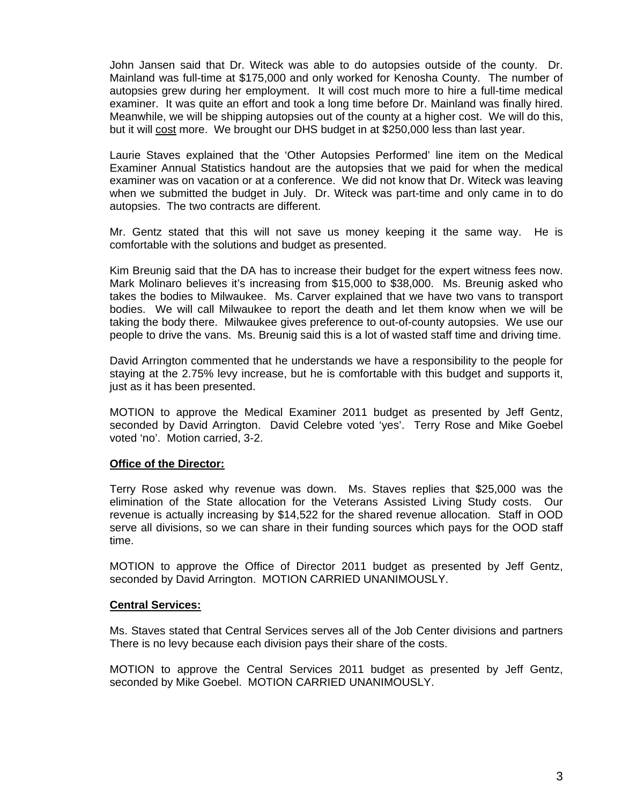John Jansen said that Dr. Witeck was able to do autopsies outside of the county. Dr. Mainland was full-time at \$175,000 and only worked for Kenosha County. The number of autopsies grew during her employment. It will cost much more to hire a full-time medical examiner. It was quite an effort and took a long time before Dr. Mainland was finally hired. Meanwhile, we will be shipping autopsies out of the county at a higher cost. We will do this, but it will cost more. We brought our DHS budget in at \$250,000 less than last year.

 Laurie Staves explained that the 'Other Autopsies Performed' line item on the Medical Examiner Annual Statistics handout are the autopsies that we paid for when the medical examiner was on vacation or at a conference. We did not know that Dr. Witeck was leaving when we submitted the budget in July. Dr. Witeck was part-time and only came in to do autopsies. The two contracts are different.

 Mr. Gentz stated that this will not save us money keeping it the same way. He is comfortable with the solutions and budget as presented.

 Kim Breunig said that the DA has to increase their budget for the expert witness fees now. Mark Molinaro believes it's increasing from \$15,000 to \$38,000. Ms. Breunig asked who takes the bodies to Milwaukee. Ms. Carver explained that we have two vans to transport bodies. We will call Milwaukee to report the death and let them know when we will be taking the body there. Milwaukee gives preference to out-of-county autopsies. We use our people to drive the vans. Ms. Breunig said this is a lot of wasted staff time and driving time.

 David Arrington commented that he understands we have a responsibility to the people for staying at the 2.75% levy increase, but he is comfortable with this budget and supports it, just as it has been presented.

 MOTION to approve the Medical Examiner 2011 budget as presented by Jeff Gentz, seconded by David Arrington. David Celebre voted 'yes'. Terry Rose and Mike Goebel voted 'no'. Motion carried, 3-2.

### **Office of the Director:**

 Terry Rose asked why revenue was down. Ms. Staves replies that \$25,000 was the elimination of the State allocation for the Veterans Assisted Living Study costs. Our revenue is actually increasing by \$14,522 for the shared revenue allocation. Staff in OOD serve all divisions, so we can share in their funding sources which pays for the OOD staff time.

 MOTION to approve the Office of Director 2011 budget as presented by Jeff Gentz, seconded by David Arrington. MOTION CARRIED UNANIMOUSLY.

### **Central Services:**

 Ms. Staves stated that Central Services serves all of the Job Center divisions and partners There is no levy because each division pays their share of the costs.

 MOTION to approve the Central Services 2011 budget as presented by Jeff Gentz, seconded by Mike Goebel. MOTION CARRIED UNANIMOUSLY.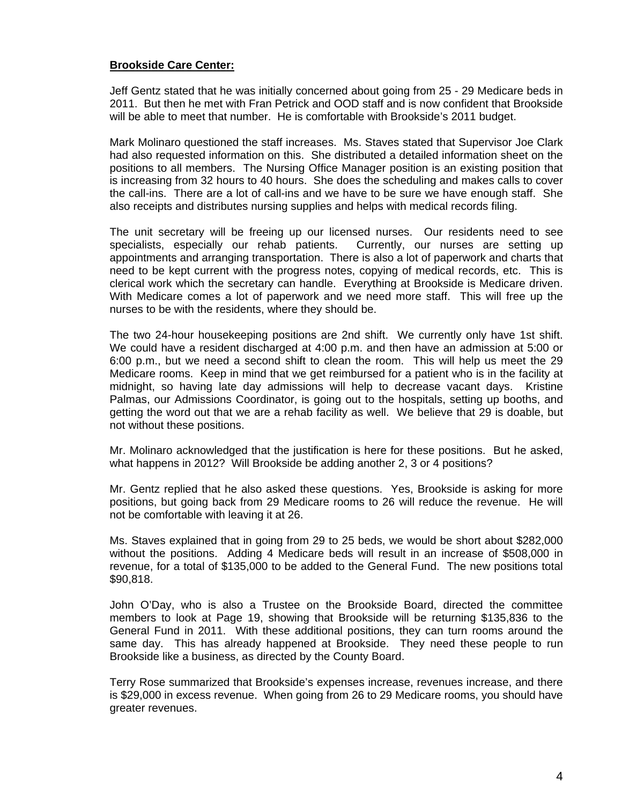# **Brookside Care Center:**

 Jeff Gentz stated that he was initially concerned about going from 25 - 29 Medicare beds in 2011. But then he met with Fran Petrick and OOD staff and is now confident that Brookside will be able to meet that number. He is comfortable with Brookside's 2011 budget.

 Mark Molinaro questioned the staff increases. Ms. Staves stated that Supervisor Joe Clark had also requested information on this. She distributed a detailed information sheet on the positions to all members. The Nursing Office Manager position is an existing position that is increasing from 32 hours to 40 hours. She does the scheduling and makes calls to cover the call-ins. There are a lot of call-ins and we have to be sure we have enough staff. She also receipts and distributes nursing supplies and helps with medical records filing.

 The unit secretary will be freeing up our licensed nurses. Our residents need to see specialists, especially our rehab patients. Currently, our nurses are setting up appointments and arranging transportation. There is also a lot of paperwork and charts that need to be kept current with the progress notes, copying of medical records, etc. This is clerical work which the secretary can handle. Everything at Brookside is Medicare driven. With Medicare comes a lot of paperwork and we need more staff. This will free up the nurses to be with the residents, where they should be.

 The two 24-hour housekeeping positions are 2nd shift. We currently only have 1st shift. We could have a resident discharged at 4:00 p.m. and then have an admission at 5:00 or 6:00 p.m., but we need a second shift to clean the room. This will help us meet the 29 Medicare rooms. Keep in mind that we get reimbursed for a patient who is in the facility at midnight, so having late day admissions will help to decrease vacant days. Kristine Palmas, our Admissions Coordinator, is going out to the hospitals, setting up booths, and getting the word out that we are a rehab facility as well. We believe that 29 is doable, but not without these positions.

 Mr. Molinaro acknowledged that the justification is here for these positions. But he asked, what happens in 2012? Will Brookside be adding another 2, 3 or 4 positions?

 Mr. Gentz replied that he also asked these questions. Yes, Brookside is asking for more positions, but going back from 29 Medicare rooms to 26 will reduce the revenue. He will not be comfortable with leaving it at 26.

 Ms. Staves explained that in going from 29 to 25 beds, we would be short about \$282,000 without the positions. Adding 4 Medicare beds will result in an increase of \$508,000 in revenue, for a total of \$135,000 to be added to the General Fund. The new positions total \$90,818.

 John O'Day, who is also a Trustee on the Brookside Board, directed the committee members to look at Page 19, showing that Brookside will be returning \$135,836 to the General Fund in 2011. With these additional positions, they can turn rooms around the same day. This has already happened at Brookside. They need these people to run Brookside like a business, as directed by the County Board.

 Terry Rose summarized that Brookside's expenses increase, revenues increase, and there is \$29,000 in excess revenue. When going from 26 to 29 Medicare rooms, you should have greater revenues.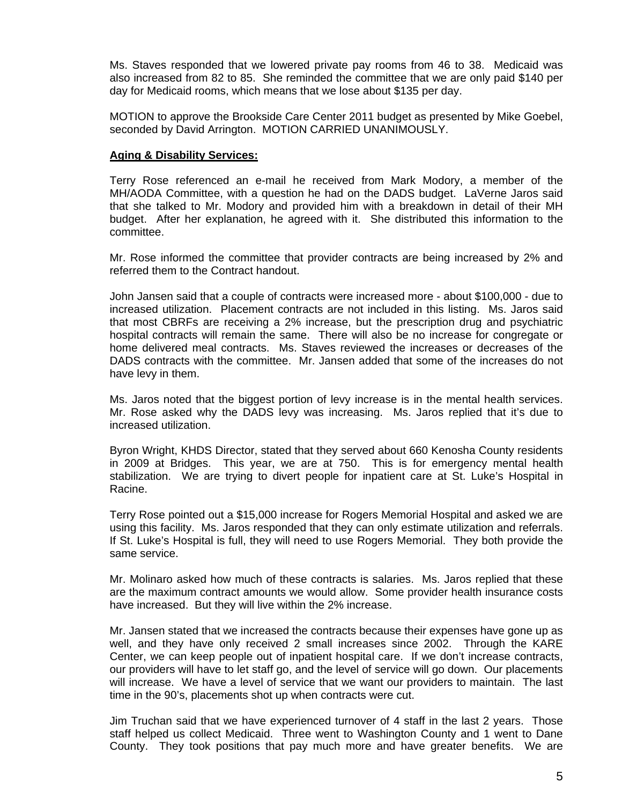Ms. Staves responded that we lowered private pay rooms from 46 to 38. Medicaid was also increased from 82 to 85. She reminded the committee that we are only paid \$140 per day for Medicaid rooms, which means that we lose about \$135 per day.

 MOTION to approve the Brookside Care Center 2011 budget as presented by Mike Goebel, seconded by David Arrington. MOTION CARRIED UNANIMOUSLY.

## **Aging & Disability Services:**

 Terry Rose referenced an e-mail he received from Mark Modory, a member of the MH/AODA Committee, with a question he had on the DADS budget. LaVerne Jaros said that she talked to Mr. Modory and provided him with a breakdown in detail of their MH budget. After her explanation, he agreed with it. She distributed this information to the committee.

 Mr. Rose informed the committee that provider contracts are being increased by 2% and referred them to the Contract handout.

 John Jansen said that a couple of contracts were increased more - about \$100,000 - due to increased utilization. Placement contracts are not included in this listing. Ms. Jaros said that most CBRFs are receiving a 2% increase, but the prescription drug and psychiatric hospital contracts will remain the same. There will also be no increase for congregate or home delivered meal contracts. Ms. Staves reviewed the increases or decreases of the DADS contracts with the committee. Mr. Jansen added that some of the increases do not have levy in them.

 Ms. Jaros noted that the biggest portion of levy increase is in the mental health services. Mr. Rose asked why the DADS levy was increasing. Ms. Jaros replied that it's due to increased utilization.

 Byron Wright, KHDS Director, stated that they served about 660 Kenosha County residents in 2009 at Bridges. This year, we are at 750. This is for emergency mental health stabilization. We are trying to divert people for inpatient care at St. Luke's Hospital in Racine.

 Terry Rose pointed out a \$15,000 increase for Rogers Memorial Hospital and asked we are using this facility. Ms. Jaros responded that they can only estimate utilization and referrals. If St. Luke's Hospital is full, they will need to use Rogers Memorial. They both provide the same service.

 Mr. Molinaro asked how much of these contracts is salaries. Ms. Jaros replied that these are the maximum contract amounts we would allow. Some provider health insurance costs have increased. But they will live within the 2% increase.

 Mr. Jansen stated that we increased the contracts because their expenses have gone up as well, and they have only received 2 small increases since 2002. Through the KARE Center, we can keep people out of inpatient hospital care. If we don't increase contracts, our providers will have to let staff go, and the level of service will go down. Our placements will increase. We have a level of service that we want our providers to maintain. The last time in the 90's, placements shot up when contracts were cut.

 Jim Truchan said that we have experienced turnover of 4 staff in the last 2 years. Those staff helped us collect Medicaid. Three went to Washington County and 1 went to Dane County. They took positions that pay much more and have greater benefits. We are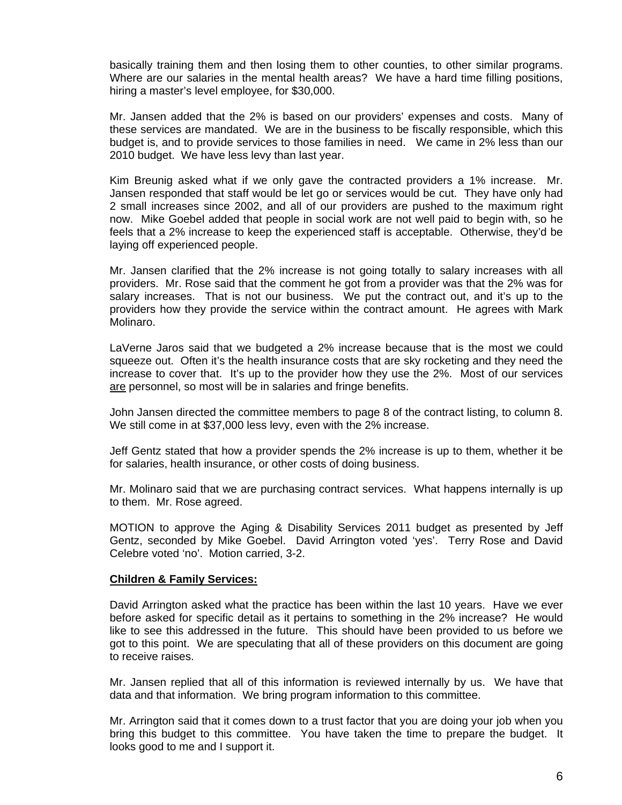basically training them and then losing them to other counties, to other similar programs. Where are our salaries in the mental health areas? We have a hard time filling positions, hiring a master's level employee, for \$30,000.

 Mr. Jansen added that the 2% is based on our providers' expenses and costs. Many of these services are mandated. We are in the business to be fiscally responsible, which this budget is, and to provide services to those families in need. We came in 2% less than our 2010 budget. We have less levy than last year.

 Kim Breunig asked what if we only gave the contracted providers a 1% increase. Mr. Jansen responded that staff would be let go or services would be cut. They have only had 2 small increases since 2002, and all of our providers are pushed to the maximum right now. Mike Goebel added that people in social work are not well paid to begin with, so he feels that a 2% increase to keep the experienced staff is acceptable. Otherwise, they'd be laying off experienced people.

 Mr. Jansen clarified that the 2% increase is not going totally to salary increases with all providers. Mr. Rose said that the comment he got from a provider was that the 2% was for salary increases. That is not our business. We put the contract out, and it's up to the providers how they provide the service within the contract amount. He agrees with Mark Molinaro.

 LaVerne Jaros said that we budgeted a 2% increase because that is the most we could squeeze out. Often it's the health insurance costs that are sky rocketing and they need the increase to cover that. It's up to the provider how they use the 2%. Most of our services are personnel, so most will be in salaries and fringe benefits.

 John Jansen directed the committee members to page 8 of the contract listing, to column 8. We still come in at \$37,000 less levy, even with the 2% increase.

 Jeff Gentz stated that how a provider spends the 2% increase is up to them, whether it be for salaries, health insurance, or other costs of doing business.

 Mr. Molinaro said that we are purchasing contract services. What happens internally is up to them. Mr. Rose agreed.

 MOTION to approve the Aging & Disability Services 2011 budget as presented by Jeff Gentz, seconded by Mike Goebel. David Arrington voted 'yes'. Terry Rose and David Celebre voted 'no'. Motion carried, 3-2.

### **Children & Family Services:**

 David Arrington asked what the practice has been within the last 10 years. Have we ever before asked for specific detail as it pertains to something in the 2% increase? He would like to see this addressed in the future. This should have been provided to us before we got to this point. We are speculating that all of these providers on this document are going to receive raises.

 Mr. Jansen replied that all of this information is reviewed internally by us. We have that data and that information. We bring program information to this committee.

 Mr. Arrington said that it comes down to a trust factor that you are doing your job when you bring this budget to this committee. You have taken the time to prepare the budget. It looks good to me and I support it.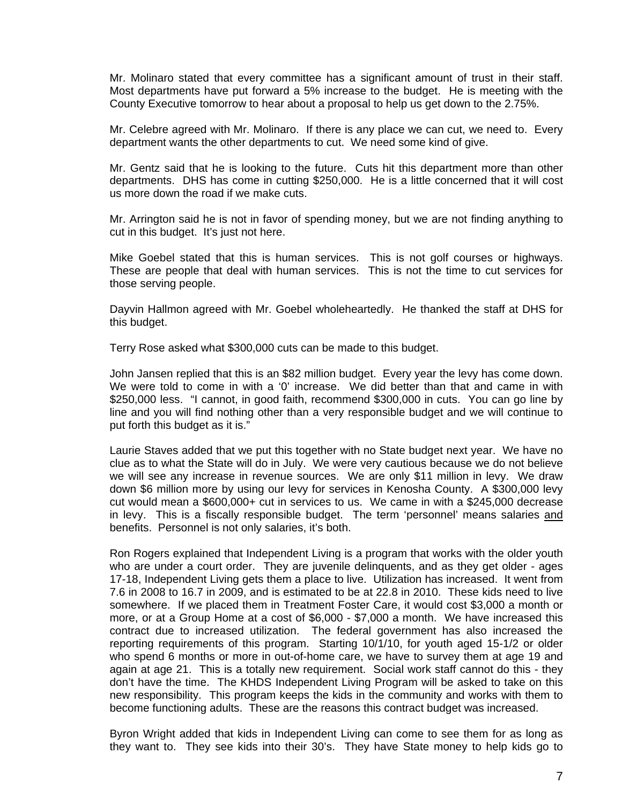Mr. Molinaro stated that every committee has a significant amount of trust in their staff. Most departments have put forward a 5% increase to the budget. He is meeting with the County Executive tomorrow to hear about a proposal to help us get down to the 2.75%.

 Mr. Celebre agreed with Mr. Molinaro. If there is any place we can cut, we need to. Every department wants the other departments to cut. We need some kind of give.

 Mr. Gentz said that he is looking to the future. Cuts hit this department more than other departments. DHS has come in cutting \$250,000. He is a little concerned that it will cost us more down the road if we make cuts.

 Mr. Arrington said he is not in favor of spending money, but we are not finding anything to cut in this budget. It's just not here.

 Mike Goebel stated that this is human services. This is not golf courses or highways. These are people that deal with human services. This is not the time to cut services for those serving people.

 Dayvin Hallmon agreed with Mr. Goebel wholeheartedly. He thanked the staff at DHS for this budget.

Terry Rose asked what \$300,000 cuts can be made to this budget.

 John Jansen replied that this is an \$82 million budget. Every year the levy has come down. We were told to come in with a '0' increase. We did better than that and came in with \$250,000 less. "I cannot, in good faith, recommend \$300,000 in cuts. You can go line by line and you will find nothing other than a very responsible budget and we will continue to put forth this budget as it is."

 Laurie Staves added that we put this together with no State budget next year. We have no clue as to what the State will do in July. We were very cautious because we do not believe we will see any increase in revenue sources. We are only \$11 million in levy. We draw down \$6 million more by using our levy for services in Kenosha County. A \$300,000 levy cut would mean a \$600,000+ cut in services to us. We came in with a \$245,000 decrease in levy. This is a fiscally responsible budget. The term 'personnel' means salaries and benefits. Personnel is not only salaries, it's both.

 Ron Rogers explained that Independent Living is a program that works with the older youth who are under a court order. They are juvenile delinquents, and as they get older - ages 17-18, Independent Living gets them a place to live. Utilization has increased. It went from 7.6 in 2008 to 16.7 in 2009, and is estimated to be at 22.8 in 2010. These kids need to live somewhere. If we placed them in Treatment Foster Care, it would cost \$3,000 a month or more, or at a Group Home at a cost of \$6,000 - \$7,000 a month. We have increased this contract due to increased utilization. The federal government has also increased the reporting requirements of this program. Starting 10/1/10, for youth aged 15-1/2 or older who spend 6 months or more in out-of-home care, we have to survey them at age 19 and again at age 21. This is a totally new requirement. Social work staff cannot do this - they don't have the time. The KHDS Independent Living Program will be asked to take on this new responsibility. This program keeps the kids in the community and works with them to become functioning adults. These are the reasons this contract budget was increased.

 Byron Wright added that kids in Independent Living can come to see them for as long as they want to. They see kids into their 30's. They have State money to help kids go to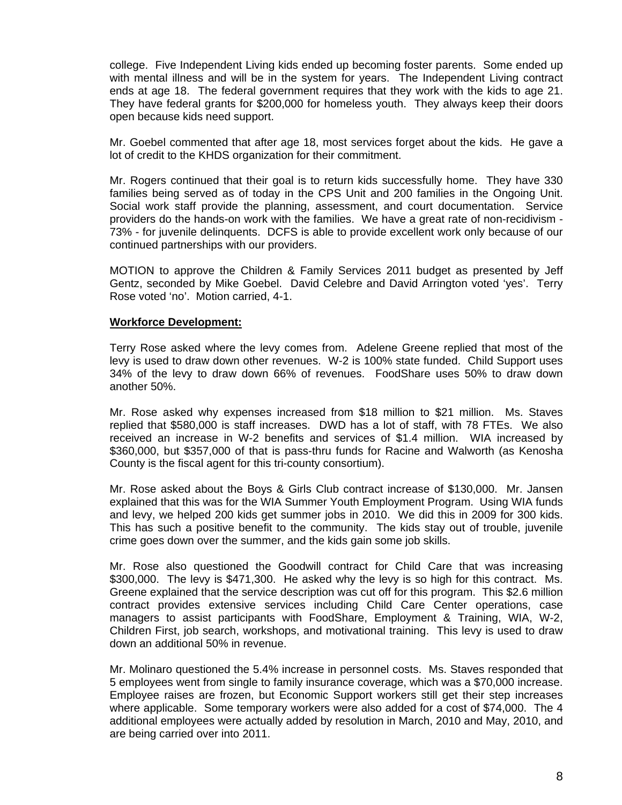college. Five Independent Living kids ended up becoming foster parents. Some ended up with mental illness and will be in the system for years. The Independent Living contract ends at age 18. The federal government requires that they work with the kids to age 21. They have federal grants for \$200,000 for homeless youth. They always keep their doors open because kids need support.

 Mr. Goebel commented that after age 18, most services forget about the kids. He gave a lot of credit to the KHDS organization for their commitment.

 Mr. Rogers continued that their goal is to return kids successfully home. They have 330 families being served as of today in the CPS Unit and 200 families in the Ongoing Unit. Social work staff provide the planning, assessment, and court documentation. Service providers do the hands-on work with the families. We have a great rate of non-recidivism - 73% - for juvenile delinquents. DCFS is able to provide excellent work only because of our continued partnerships with our providers.

 MOTION to approve the Children & Family Services 2011 budget as presented by Jeff Gentz, seconded by Mike Goebel. David Celebre and David Arrington voted 'yes'. Terry Rose voted 'no'. Motion carried, 4-1.

### **Workforce Development:**

 Terry Rose asked where the levy comes from. Adelene Greene replied that most of the levy is used to draw down other revenues. W-2 is 100% state funded. Child Support uses 34% of the levy to draw down 66% of revenues. FoodShare uses 50% to draw down another 50%.

 Mr. Rose asked why expenses increased from \$18 million to \$21 million. Ms. Staves replied that \$580,000 is staff increases. DWD has a lot of staff, with 78 FTEs. We also received an increase in W-2 benefits and services of \$1.4 million. WIA increased by \$360,000, but \$357,000 of that is pass-thru funds for Racine and Walworth (as Kenosha County is the fiscal agent for this tri-county consortium).

 Mr. Rose asked about the Boys & Girls Club contract increase of \$130,000. Mr. Jansen explained that this was for the WIA Summer Youth Employment Program. Using WIA funds and levy, we helped 200 kids get summer jobs in 2010. We did this in 2009 for 300 kids. This has such a positive benefit to the community. The kids stay out of trouble, juvenile crime goes down over the summer, and the kids gain some job skills.

 Mr. Rose also questioned the Goodwill contract for Child Care that was increasing \$300,000. The levy is \$471,300. He asked why the levy is so high for this contract. Ms. Greene explained that the service description was cut off for this program. This \$2.6 million contract provides extensive services including Child Care Center operations, case managers to assist participants with FoodShare, Employment & Training, WIA, W-2, Children First, job search, workshops, and motivational training. This levy is used to draw down an additional 50% in revenue.

 Mr. Molinaro questioned the 5.4% increase in personnel costs. Ms. Staves responded that 5 employees went from single to family insurance coverage, which was a \$70,000 increase. Employee raises are frozen, but Economic Support workers still get their step increases where applicable. Some temporary workers were also added for a cost of \$74,000. The 4 additional employees were actually added by resolution in March, 2010 and May, 2010, and are being carried over into 2011.